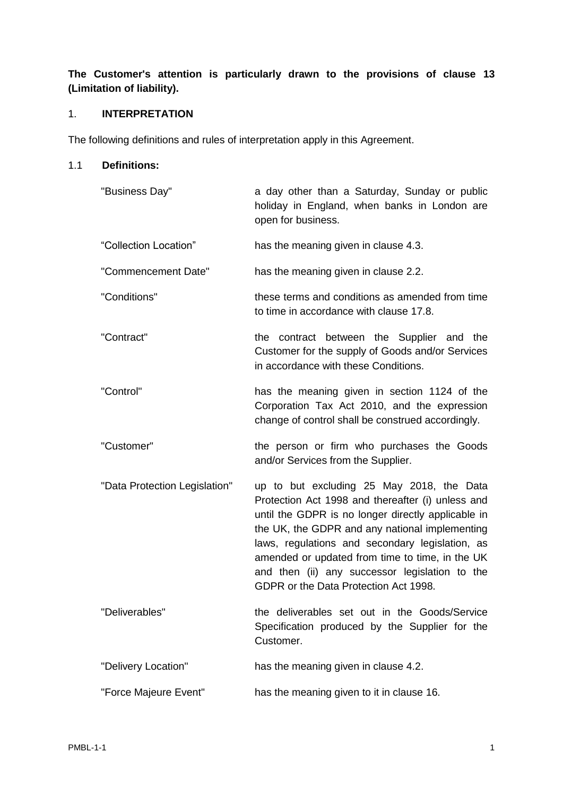# **The Customer's attention is particularly drawn to the provisions of clause [13](#page-11-0) (Limitation of liability).**

## 1. **INTERPRETATION**

The following definitions and rules of interpretation apply in this Agreement.

## 1.1 **Definitions:**

| "Business Day"                | a day other than a Saturday, Sunday or public<br>holiday in England, when banks in London are<br>open for business.                                                                                                                                                                                                                                                                                     |
|-------------------------------|---------------------------------------------------------------------------------------------------------------------------------------------------------------------------------------------------------------------------------------------------------------------------------------------------------------------------------------------------------------------------------------------------------|
| "Collection Location"         | has the meaning given in clause 4.3.                                                                                                                                                                                                                                                                                                                                                                    |
| "Commencement Date"           | has the meaning given in clause 2.2.                                                                                                                                                                                                                                                                                                                                                                    |
| "Conditions"                  | these terms and conditions as amended from time<br>to time in accordance with clause 17.8.                                                                                                                                                                                                                                                                                                              |
| "Contract"                    | the contract between the Supplier and the<br>Customer for the supply of Goods and/or Services<br>in accordance with these Conditions.                                                                                                                                                                                                                                                                   |
| "Control"                     | has the meaning given in section 1124 of the<br>Corporation Tax Act 2010, and the expression<br>change of control shall be construed accordingly.                                                                                                                                                                                                                                                       |
| "Customer"                    | the person or firm who purchases the Goods<br>and/or Services from the Supplier.                                                                                                                                                                                                                                                                                                                        |
| "Data Protection Legislation" | up to but excluding 25 May 2018, the Data<br>Protection Act 1998 and thereafter (i) unless and<br>until the GDPR is no longer directly applicable in<br>the UK, the GDPR and any national implementing<br>laws, regulations and secondary legislation, as<br>amended or updated from time to time, in the UK<br>and then (ii) any successor legislation to the<br>GDPR or the Data Protection Act 1998. |
| "Deliverables"                | the deliverables set out in the Goods/Service<br>Specification produced by the Supplier for the<br>Customer.                                                                                                                                                                                                                                                                                            |
| "Delivery Location"           | has the meaning given in clause 4.2.                                                                                                                                                                                                                                                                                                                                                                    |
| "Force Majeure Event"         | has the meaning given to it in clause 16.                                                                                                                                                                                                                                                                                                                                                               |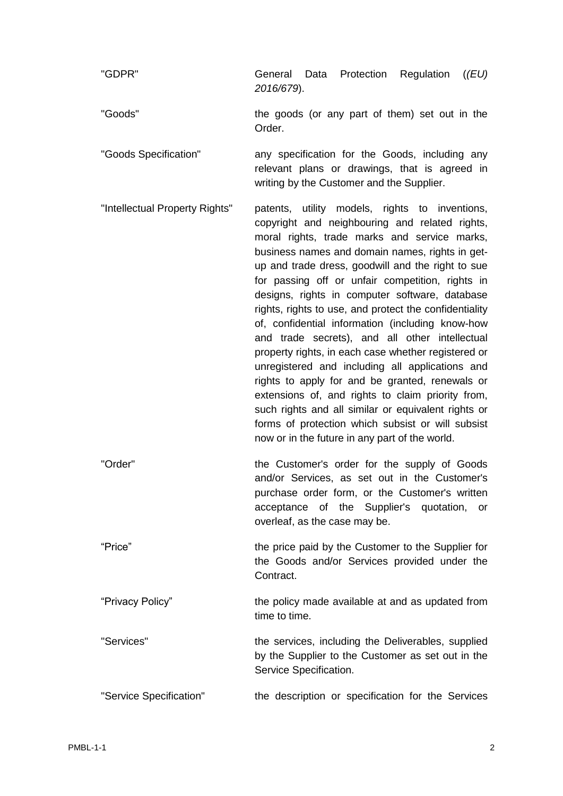| "GDPR"                         | General Data Protection Regulation<br>((EU)<br>2016/679).                                                                                                                                                                                                                                                                                                                                                                                                                                                                                                                                                                                                                                                                                                                                                                                                                                                      |
|--------------------------------|----------------------------------------------------------------------------------------------------------------------------------------------------------------------------------------------------------------------------------------------------------------------------------------------------------------------------------------------------------------------------------------------------------------------------------------------------------------------------------------------------------------------------------------------------------------------------------------------------------------------------------------------------------------------------------------------------------------------------------------------------------------------------------------------------------------------------------------------------------------------------------------------------------------|
| "Goods"                        | the goods (or any part of them) set out in the<br>Order.                                                                                                                                                                                                                                                                                                                                                                                                                                                                                                                                                                                                                                                                                                                                                                                                                                                       |
| "Goods Specification"          | any specification for the Goods, including any<br>relevant plans or drawings, that is agreed in<br>writing by the Customer and the Supplier.                                                                                                                                                                                                                                                                                                                                                                                                                                                                                                                                                                                                                                                                                                                                                                   |
| "Intellectual Property Rights" | patents, utility models, rights to inventions,<br>copyright and neighbouring and related rights,<br>moral rights, trade marks and service marks,<br>business names and domain names, rights in get-<br>up and trade dress, goodwill and the right to sue<br>for passing off or unfair competition, rights in<br>designs, rights in computer software, database<br>rights, rights to use, and protect the confidentiality<br>of, confidential information (including know-how<br>and trade secrets), and all other intellectual<br>property rights, in each case whether registered or<br>unregistered and including all applications and<br>rights to apply for and be granted, renewals or<br>extensions of, and rights to claim priority from,<br>such rights and all similar or equivalent rights or<br>forms of protection which subsist or will subsist<br>now or in the future in any part of the world. |
| "Order"                        | the Customer's order for the supply of Goods<br>and/or Services, as set out in the Customer's<br>purchase order form, or the Customer's written<br>acceptance of the Supplier's quotation,<br>or<br>overleaf, as the case may be.                                                                                                                                                                                                                                                                                                                                                                                                                                                                                                                                                                                                                                                                              |
| "Price"                        | the price paid by the Customer to the Supplier for<br>the Goods and/or Services provided under the<br>Contract.                                                                                                                                                                                                                                                                                                                                                                                                                                                                                                                                                                                                                                                                                                                                                                                                |
| "Privacy Policy"               | the policy made available at and as updated from<br>time to time.                                                                                                                                                                                                                                                                                                                                                                                                                                                                                                                                                                                                                                                                                                                                                                                                                                              |
| "Services"                     | the services, including the Deliverables, supplied<br>by the Supplier to the Customer as set out in the<br>Service Specification.                                                                                                                                                                                                                                                                                                                                                                                                                                                                                                                                                                                                                                                                                                                                                                              |
| "Service Specification"        | the description or specification for the Services                                                                                                                                                                                                                                                                                                                                                                                                                                                                                                                                                                                                                                                                                                                                                                                                                                                              |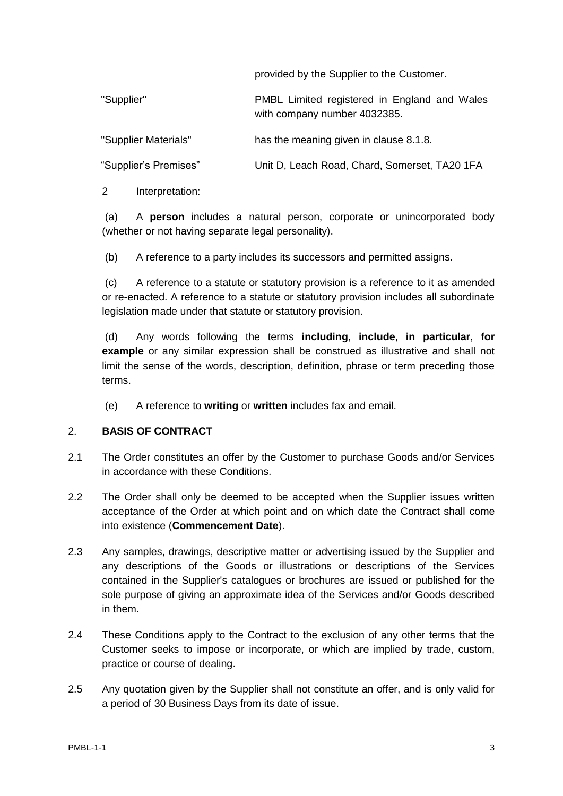provided by the Supplier to the Customer.

| "Supplier"            | PMBL Limited registered in England and Wales<br>with company number 4032385. |
|-----------------------|------------------------------------------------------------------------------|
| "Supplier Materials"  | has the meaning given in clause 8.1.8.                                       |
| "Supplier's Premises" | Unit D, Leach Road, Chard, Somerset, TA20 1FA                                |

2 Interpretation:

(a) A **person** includes a natural person, corporate or unincorporated body (whether or not having separate legal personality).

(b) A reference to a party includes its successors and permitted assigns.

(c) A reference to a statute or statutory provision is a reference to it as amended or re-enacted. A reference to a statute or statutory provision includes all subordinate legislation made under that statute or statutory provision.

(d) Any words following the terms **including**, **include**, **in particular**, **for example** or any similar expression shall be construed as illustrative and shall not limit the sense of the words, description, definition, phrase or term preceding those terms.

(e) A reference to **writing** or **written** includes fax and email.

#### 2. **BASIS OF CONTRACT**

- 2.1 The Order constitutes an offer by the Customer to purchase Goods and/or Services in accordance with these Conditions.
- <span id="page-2-0"></span>2.2 The Order shall only be deemed to be accepted when the Supplier issues written acceptance of the Order at which point and on which date the Contract shall come into existence (**Commencement Date**).
- 2.3 Any samples, drawings, descriptive matter or advertising issued by the Supplier and any descriptions of the Goods or illustrations or descriptions of the Services contained in the Supplier's catalogues or brochures are issued or published for the sole purpose of giving an approximate idea of the Services and/or Goods described in them.
- 2.4 These Conditions apply to the Contract to the exclusion of any other terms that the Customer seeks to impose or incorporate, or which are implied by trade, custom, practice or course of dealing.
- 2.5 Any quotation given by the Supplier shall not constitute an offer, and is only valid for a period of 30 Business Days from its date of issue.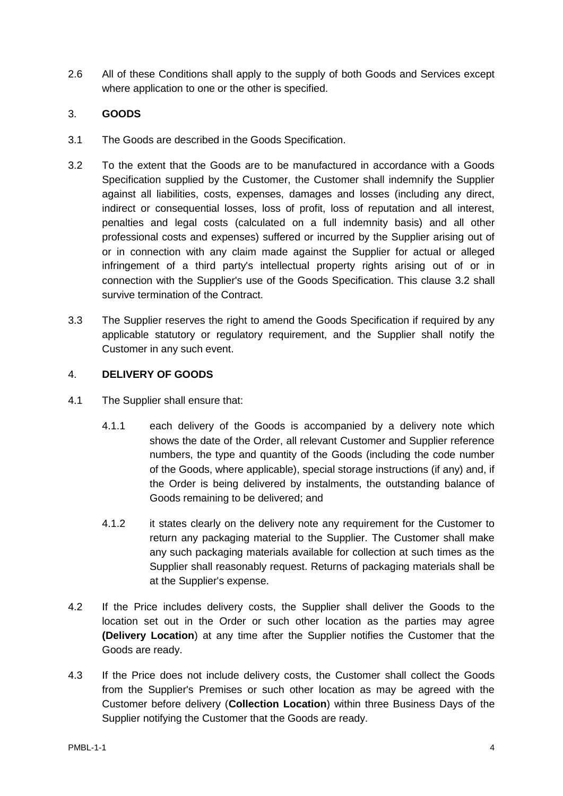2.6 All of these Conditions shall apply to the supply of both Goods and Services except where application to one or the other is specified.

## 3. **GOODS**

- 3.1 The Goods are described in the Goods Specification.
- <span id="page-3-1"></span>3.2 To the extent that the Goods are to be manufactured in accordance with a Goods Specification supplied by the Customer, the Customer shall indemnify the Supplier against all liabilities, costs, expenses, damages and losses (including any direct, indirect or consequential losses, loss of profit, loss of reputation and all interest, penalties and legal costs (calculated on a full indemnity basis) and all other professional costs and expenses) suffered or incurred by the Supplier arising out of or in connection with any claim made against the Supplier for actual or alleged infringement of a third party's intellectual property rights arising out of or in connection with the Supplier's use of the Goods Specification. This clause [3.2](#page-3-1) shall survive termination of the Contract.
- 3.3 The Supplier reserves the right to amend the Goods Specification if required by any applicable statutory or regulatory requirement, and the Supplier shall notify the Customer in any such event.

#### 4. **DELIVERY OF GOODS**

- 4.1 The Supplier shall ensure that:
	- 4.1.1 each delivery of the Goods is accompanied by a delivery note which shows the date of the Order, all relevant Customer and Supplier reference numbers, the type and quantity of the Goods (including the code number of the Goods, where applicable), special storage instructions (if any) and, if the Order is being delivered by instalments, the outstanding balance of Goods remaining to be delivered; and
	- 4.1.2 it states clearly on the delivery note any requirement for the Customer to return any packaging material to the Supplier. The Customer shall make any such packaging materials available for collection at such times as the Supplier shall reasonably request. Returns of packaging materials shall be at the Supplier's expense.
- <span id="page-3-0"></span>4.2 If the Price includes delivery costs, the Supplier shall deliver the Goods to the location set out in the Order or such other location as the parties may agree **(Delivery Location**) at any time after the Supplier notifies the Customer that the Goods are ready.
- 4.3 If the Price does not include delivery costs, the Customer shall collect the Goods from the Supplier's Premises or such other location as may be agreed with the Customer before delivery (**Collection Location**) within three Business Days of the Supplier notifying the Customer that the Goods are ready.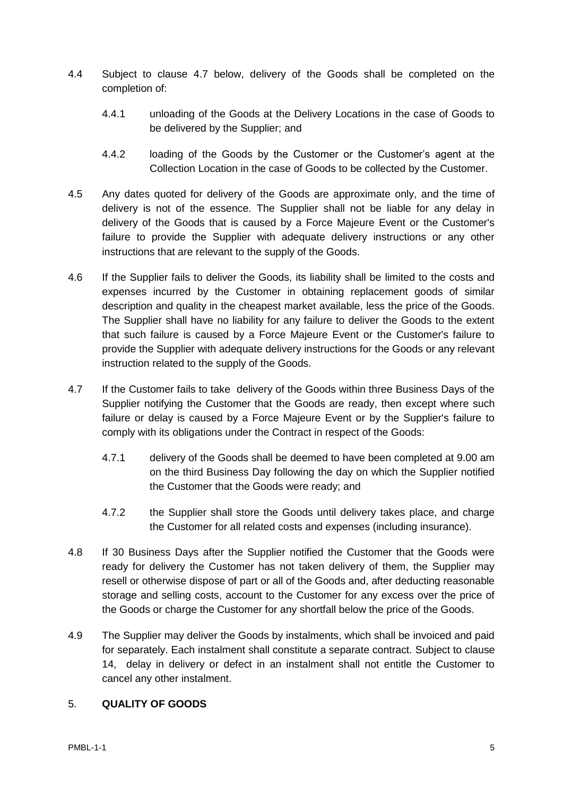- 4.4 Subject to clause 4.7 below, delivery of the Goods shall be completed on the completion of:
	- 4.4.1 unloading of the Goods at the Delivery Locations in the case of Goods to be delivered by the Supplier; and
	- 4.4.2 loading of the Goods by the Customer or the Customer's agent at the Collection Location in the case of Goods to be collected by the Customer.
- 4.5 Any dates quoted for delivery of the Goods are approximate only, and the time of delivery is not of the essence. The Supplier shall not be liable for any delay in delivery of the Goods that is caused by a Force Majeure Event or the Customer's failure to provide the Supplier with adequate delivery instructions or any other instructions that are relevant to the supply of the Goods.
- 4.6 If the Supplier fails to deliver the Goods, its liability shall be limited to the costs and expenses incurred by the Customer in obtaining replacement goods of similar description and quality in the cheapest market available, less the price of the Goods. The Supplier shall have no liability for any failure to deliver the Goods to the extent that such failure is caused by a Force Majeure Event or the Customer's failure to provide the Supplier with adequate delivery instructions for the Goods or any relevant instruction related to the supply of the Goods.
- 4.7 If the Customer fails to take delivery of the Goods within three Business Days of the Supplier notifying the Customer that the Goods are ready, then except where such failure or delay is caused by a Force Majeure Event or by the Supplier's failure to comply with its obligations under the Contract in respect of the Goods:
	- 4.7.1 delivery of the Goods shall be deemed to have been completed at 9.00 am on the third Business Day following the day on which the Supplier notified the Customer that the Goods were ready; and
	- 4.7.2 the Supplier shall store the Goods until delivery takes place, and charge the Customer for all related costs and expenses (including insurance).
- 4.8 If 30 Business Days after the Supplier notified the Customer that the Goods were ready for delivery the Customer has not taken delivery of them, the Supplier may resell or otherwise dispose of part or all of the Goods and, after deducting reasonable storage and selling costs, account to the Customer for any excess over the price of the Goods or charge the Customer for any shortfall below the price of the Goods.
- 4.9 The Supplier may deliver the Goods by instalments, which shall be invoiced and paid for separately. Each instalment shall constitute a separate contract. Subject to clause 14, delay in delivery or defect in an instalment shall not entitle the Customer to cancel any other instalment.

## <span id="page-4-0"></span>5. **QUALITY OF GOODS**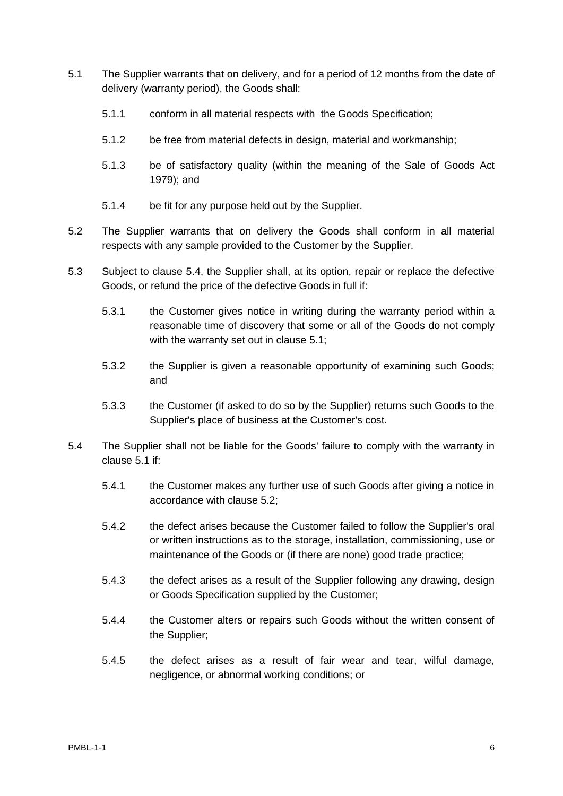- <span id="page-5-1"></span>5.1 The Supplier warrants that on delivery, and for a period of 12 months from the date of delivery (warranty period), the Goods shall:
	- 5.1.1 conform in all material respects with the Goods Specification;
	- 5.1.2 be free from material defects in design, material and workmanship;
	- 5.1.3 be of satisfactory quality (within the meaning of the Sale of Goods Act 1979); and
	- 5.1.4 be fit for any purpose held out by the Supplier.
- <span id="page-5-2"></span>5.2 The Supplier warrants that on delivery the Goods shall conform in all material respects with any sample provided to the Customer by the Supplier.
- 5.3 Subject to clause [5.4,](#page-5-0) the Supplier shall, at its option, repair or replace the defective Goods, or refund the price of the defective Goods in full if:
	- 5.3.1 the Customer gives notice in writing during the warranty period within a reasonable time of discovery that some or all of the Goods do not comply with the warranty set out in clause [5.1;](#page-5-1)
	- 5.3.2 the Supplier is given a reasonable opportunity of examining such Goods; and
	- 5.3.3 the Customer (if asked to do so by the Supplier) returns such Goods to the Supplier's place of business at the Customer's cost.
- <span id="page-5-0"></span>5.4 The Supplier shall not be liable for the Goods' failure to comply with the warranty in clause [5.1](#page-5-1) if:
	- 5.4.1 the Customer makes any further use of such Goods after giving a notice in accordance with clause [5.2;](#page-5-2)
	- 5.4.2 the defect arises because the Customer failed to follow the Supplier's oral or written instructions as to the storage, installation, commissioning, use or maintenance of the Goods or (if there are none) good trade practice;
	- 5.4.3 the defect arises as a result of the Supplier following any drawing, design or Goods Specification supplied by the Customer;
	- 5.4.4 the Customer alters or repairs such Goods without the written consent of the Supplier;
	- 5.4.5 the defect arises as a result of fair wear and tear, wilful damage, negligence, or abnormal working conditions; or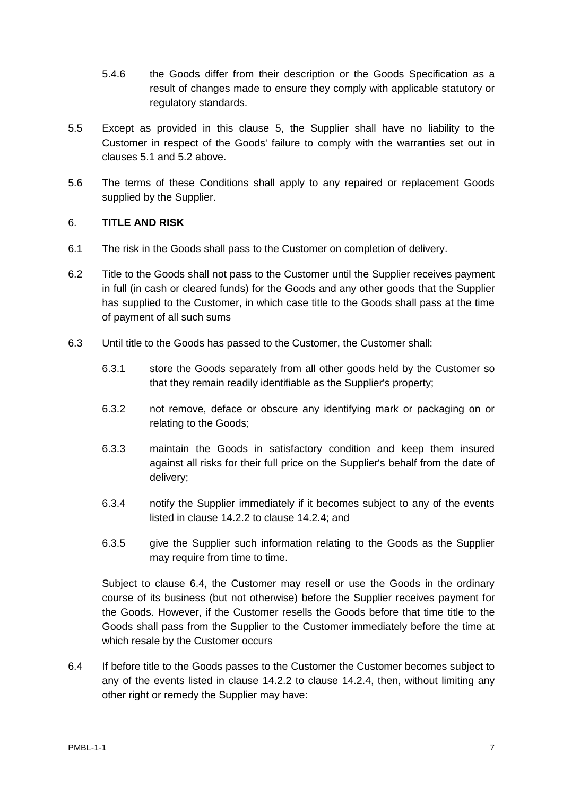- 5.4.6 the Goods differ from their description or the Goods Specification as a result of changes made to ensure they comply with applicable statutory or regulatory standards.
- 5.5 Except as provided in this clause [5,](#page-4-0) the Supplier shall have no liability to the Customer in respect of the Goods' failure to comply with the warranties set out in clauses [5.1](#page-5-1) and 5.2 above.
- 5.6 The terms of these Conditions shall apply to any repaired or replacement Goods supplied by the Supplier.

#### 6. **TITLE AND RISK**

- 6.1 The risk in the Goods shall pass to the Customer on completion of delivery.
- 6.2 Title to the Goods shall not pass to the Customer until the Supplier receives payment in full (in cash or cleared funds) for the Goods and any other goods that the Supplier has supplied to the Customer, in which case title to the Goods shall pass at the time of payment of all such sums
- 6.3 Until title to the Goods has passed to the Customer, the Customer shall:
	- 6.3.1 store the Goods separately from all other goods held by the Customer so that they remain readily identifiable as the Supplier's property;
	- 6.3.2 not remove, deface or obscure any identifying mark or packaging on or relating to the Goods;
	- 6.3.3 maintain the Goods in satisfactory condition and keep them insured against all risks for their full price on the Supplier's behalf from the date of delivery;
	- 6.3.4 notify the Supplier immediately if it becomes subject to any of the events listed in clause [14.2.2](#page-13-0) to clause [14.2.4;](#page-13-1) and
	- 6.3.5 give the Supplier such information relating to the Goods as the Supplier may require from time to time.

Subject to clause [6.4,](#page-6-0) the Customer may resell or use the Goods in the ordinary course of its business (but not otherwise) before the Supplier receives payment for the Goods. However, if the Customer resells the Goods before that time title to the Goods shall pass from the Supplier to the Customer immediately before the time at which resale by the Customer occurs

<span id="page-6-0"></span>6.4 If before title to the Goods passes to the Customer the Customer becomes subject to any of the events listed in clause [14.2.2](#page-13-0) to clause [14.2.4,](#page-13-1) then, without limiting any other right or remedy the Supplier may have: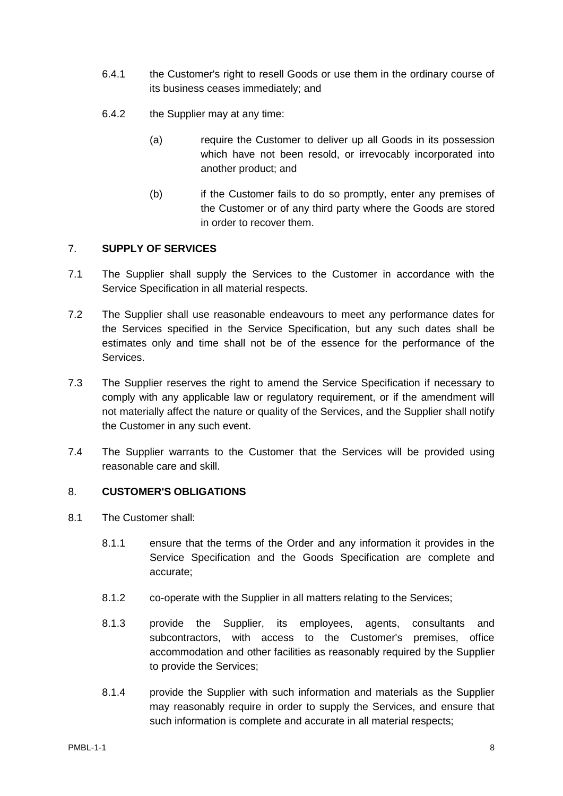- 6.4.1 the Customer's right to resell Goods or use them in the ordinary course of its business ceases immediately; and
- 6.4.2 the Supplier may at any time:
	- (a) require the Customer to deliver up all Goods in its possession which have not been resold, or irrevocably incorporated into another product; and
	- (b) if the Customer fails to do so promptly, enter any premises of the Customer or of any third party where the Goods are stored in order to recover them.

#### <span id="page-7-0"></span>7. **SUPPLY OF SERVICES**

- 7.1 The Supplier shall supply the Services to the Customer in accordance with the Service Specification in all material respects.
- 7.2 The Supplier shall use reasonable endeavours to meet any performance dates for the Services specified in the Service Specification, but any such dates shall be estimates only and time shall not be of the essence for the performance of the Services.
- 7.3 The Supplier reserves the right to amend the Service Specification if necessary to comply with any applicable law or regulatory requirement, or if the amendment will not materially affect the nature or quality of the Services, and the Supplier shall notify the Customer in any such event.
- 7.4 The Supplier warrants to the Customer that the Services will be provided using reasonable care and skill.

## 8. **CUSTOMER'S OBLIGATIONS**

- 8.1 The Customer shall:
	- 8.1.1 ensure that the terms of the Order and any information it provides in the Service Specification and the Goods Specification are complete and accurate;
	- 8.1.2 co-operate with the Supplier in all matters relating to the Services;
	- 8.1.3 provide the Supplier, its employees, agents, consultants and subcontractors, with access to the Customer's premises, office accommodation and other facilities as reasonably required by the Supplier to provide the Services;
	- 8.1.4 provide the Supplier with such information and materials as the Supplier may reasonably require in order to supply the Services, and ensure that such information is complete and accurate in all material respects;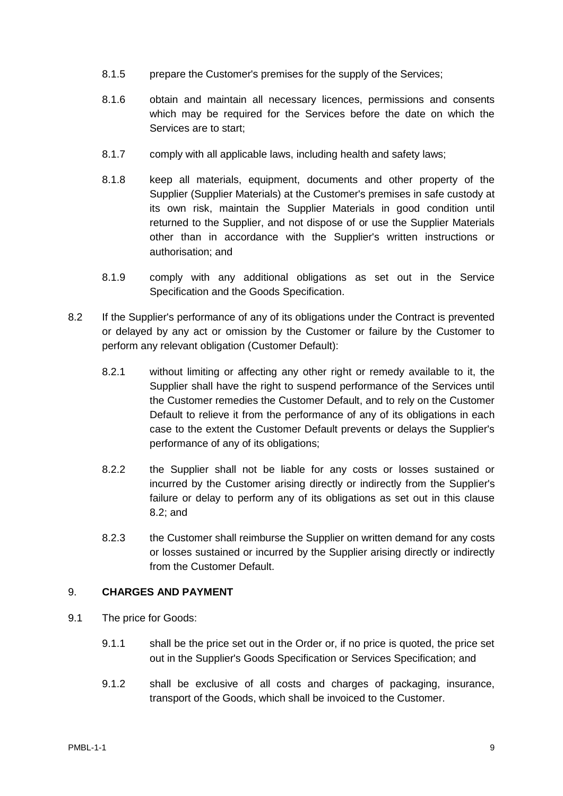- 8.1.5 prepare the Customer's premises for the supply of the Services;
- 8.1.6 obtain and maintain all necessary licences, permissions and consents which may be required for the Services before the date on which the Services are to start;
- 8.1.7 comply with all applicable laws, including health and safety laws;
- <span id="page-8-0"></span>8.1.8 keep all materials, equipment, documents and other property of the Supplier (Supplier Materials) at the Customer's premises in safe custody at its own risk, maintain the Supplier Materials in good condition until returned to the Supplier, and not dispose of or use the Supplier Materials other than in accordance with the Supplier's written instructions or authorisation; and
- 8.1.9 comply with any additional obligations as set out in the Service Specification and the Goods Specification.
- <span id="page-8-1"></span>8.2 If the Supplier's performance of any of its obligations under the Contract is prevented or delayed by any act or omission by the Customer or failure by the Customer to perform any relevant obligation (Customer Default):
	- 8.2.1 without limiting or affecting any other right or remedy available to it, the Supplier shall have the right to suspend performance of the Services until the Customer remedies the Customer Default, and to rely on the Customer Default to relieve it from the performance of any of its obligations in each case to the extent the Customer Default prevents or delays the Supplier's performance of any of its obligations;
	- 8.2.2 the Supplier shall not be liable for any costs or losses sustained or incurred by the Customer arising directly or indirectly from the Supplier's failure or delay to perform any of its obligations as set out in this clause [8.2;](#page-8-1) and
	- 8.2.3 the Customer shall reimburse the Supplier on written demand for any costs or losses sustained or incurred by the Supplier arising directly or indirectly from the Customer Default.

#### 9. **CHARGES AND PAYMENT**

- 9.1 The price for Goods:
	- 9.1.1 shall be the price set out in the Order or, if no price is quoted, the price set out in the Supplier's Goods Specification or Services Specification; and
	- 9.1.2 shall be exclusive of all costs and charges of packaging, insurance, transport of the Goods, which shall be invoiced to the Customer.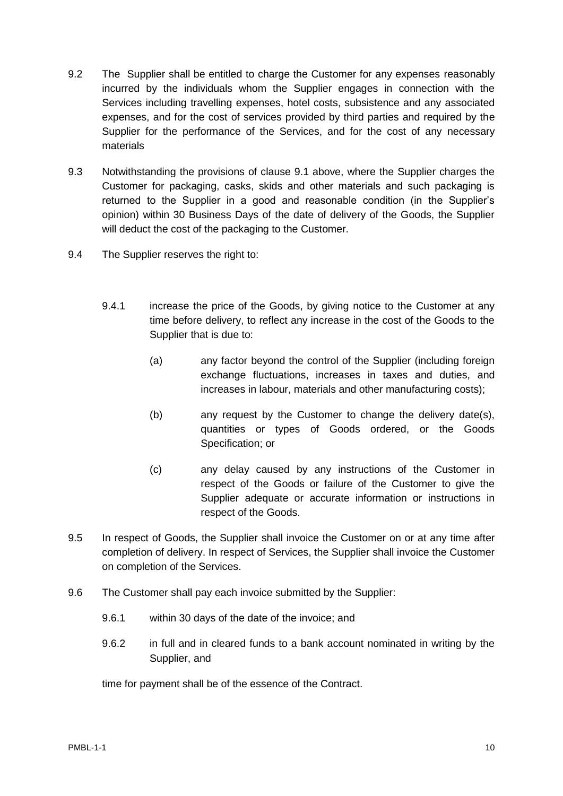- 9.2 The Supplier shall be entitled to charge the Customer for any expenses reasonably incurred by the individuals whom the Supplier engages in connection with the Services including travelling expenses, hotel costs, subsistence and any associated expenses, and for the cost of services provided by third parties and required by the Supplier for the performance of the Services, and for the cost of any necessary materials
- 9.3 Notwithstanding the provisions of clause 9.1 above, where the Supplier charges the Customer for packaging, casks, skids and other materials and such packaging is returned to the Supplier in a good and reasonable condition (in the Supplier's opinion) within 30 Business Days of the date of delivery of the Goods, the Supplier will deduct the cost of the packaging to the Customer.
- 9.4 The Supplier reserves the right to:
	- 9.4.1 increase the price of the Goods, by giving notice to the Customer at any time before delivery, to reflect any increase in the cost of the Goods to the Supplier that is due to:
		- (a) any factor beyond the control of the Supplier (including foreign exchange fluctuations, increases in taxes and duties, and increases in labour, materials and other manufacturing costs);
		- (b) any request by the Customer to change the delivery date(s), quantities or types of Goods ordered, or the Goods Specification; or
		- (c) any delay caused by any instructions of the Customer in respect of the Goods or failure of the Customer to give the Supplier adequate or accurate information or instructions in respect of the Goods.
- 9.5 In respect of Goods, the Supplier shall invoice the Customer on or at any time after completion of delivery. In respect of Services, the Supplier shall invoice the Customer on completion of the Services.
- 9.6 The Customer shall pay each invoice submitted by the Supplier:
	- 9.6.1 within 30 days of the date of the invoice; and
	- 9.6.2 in full and in cleared funds to a bank account nominated in writing by the Supplier, and

time for payment shall be of the essence of the Contract.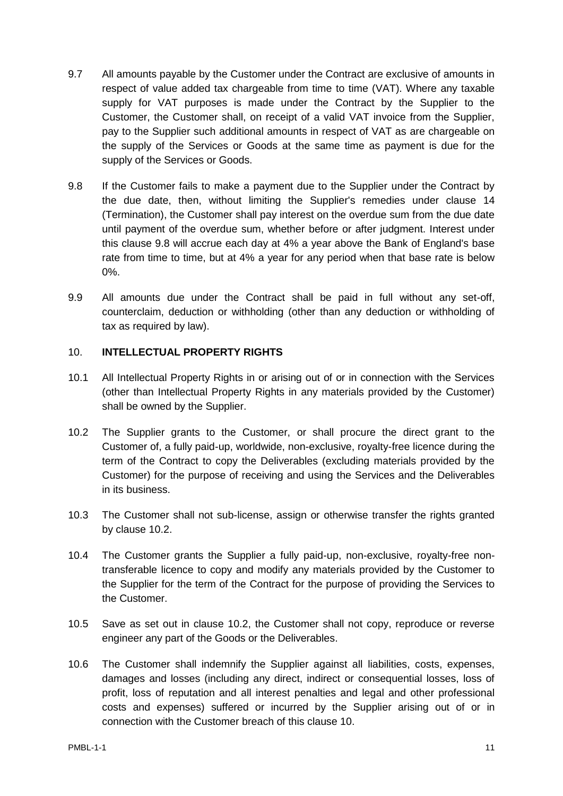- 9.7 All amounts payable by the Customer under the Contract are exclusive of amounts in respect of value added tax chargeable from time to time (VAT). Where any taxable supply for VAT purposes is made under the Contract by the Supplier to the Customer, the Customer shall, on receipt of a valid VAT invoice from the Supplier, pay to the Supplier such additional amounts in respect of VAT as are chargeable on the supply of the Services or Goods at the same time as payment is due for the supply of the Services or Goods.
- <span id="page-10-0"></span>9.8 If the Customer fails to make a payment due to the Supplier under the Contract by the due date, then, without limiting the Supplier's remedies under clause [14](#page-12-0) (Termination), the Customer shall pay interest on the overdue sum from the due date until payment of the overdue sum, whether before or after judgment. Interest under this clause [9.8](#page-10-0) will accrue each day at 4% a year above the Bank of England's base rate from time to time, but at 4% a year for any period when that base rate is below 0%.
- 9.9 All amounts due under the Contract shall be paid in full without any set-off, counterclaim, deduction or withholding (other than any deduction or withholding of tax as required by law).

#### 10. **INTELLECTUAL PROPERTY RIGHTS**

- 10.1 All Intellectual Property Rights in or arising out of or in connection with the Services (other than Intellectual Property Rights in any materials provided by the Customer) shall be owned by the Supplier.
- <span id="page-10-1"></span>10.2 The Supplier grants to the Customer, or shall procure the direct grant to the Customer of, a fully paid-up, worldwide, non-exclusive, royalty-free licence during the term of the Contract to copy the Deliverables (excluding materials provided by the Customer) for the purpose of receiving and using the Services and the Deliverables in its business.
- 10.3 The Customer shall not sub-license, assign or otherwise transfer the rights granted by clause [10.2.](#page-10-1)
- 10.4 The Customer grants the Supplier a fully paid-up, non-exclusive, royalty-free nontransferable licence to copy and modify any materials provided by the Customer to the Supplier for the term of the Contract for the purpose of providing the Services to the Customer.
- 10.5 Save as set out in clause 10.2, the Customer shall not copy, reproduce or reverse engineer any part of the Goods or the Deliverables.
- 10.6 The Customer shall indemnify the Supplier against all liabilities, costs, expenses, damages and losses (including any direct, indirect or consequential losses, loss of profit, loss of reputation and all interest penalties and legal and other professional costs and expenses) suffered or incurred by the Supplier arising out of or in connection with the Customer breach of this clause 10.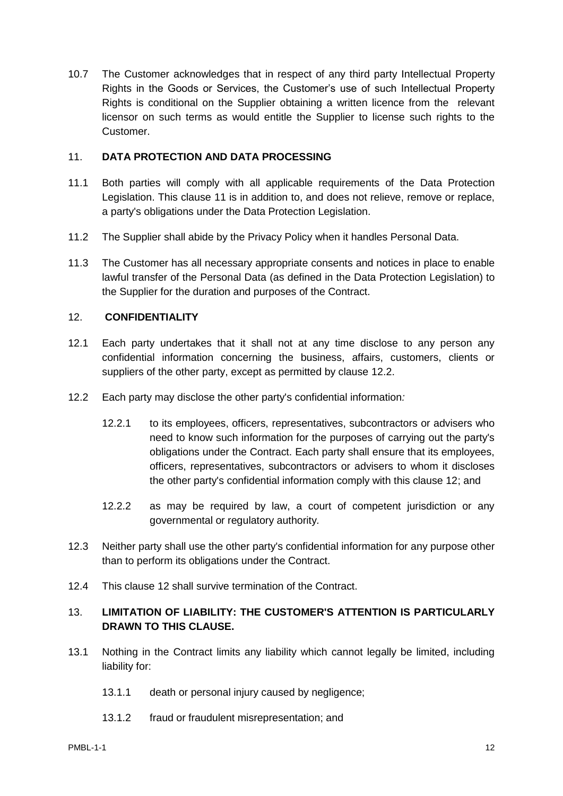10.7 The Customer acknowledges that in respect of any third party Intellectual Property Rights in the Goods or Services, the Customer's use of such Intellectual Property Rights is conditional on the Supplier obtaining a written licence from the relevant licensor on such terms as would entitle the Supplier to license such rights to the Customer.

#### <span id="page-11-1"></span>11. **DATA PROTECTION AND DATA PROCESSING**

- 11.1 Both parties will comply with all applicable requirements of the Data Protection Legislation. This clause [11](#page-11-1) is in addition to, and does not relieve, remove or replace, a party's obligations under the Data Protection Legislation.
- 11.2 The Supplier shall abide by the Privacy Policy when it handles Personal Data.
- 11.3 The Customer has all necessary appropriate consents and notices in place to enable lawful transfer of the Personal Data (as defined in the Data Protection Legislation) to the Supplier for the duration and purposes of the Contract.

## 12. **CONFIDENTIALITY**

- 12.1 Each party undertakes that it shall not at any time disclose to any person any confidential information concerning the business, affairs, customers, clients or suppliers of the other party, except as permitted by clause [12.2.](#page-11-2)
- <span id="page-11-2"></span>12.2 Each party may disclose the other party's confidential information*:*
	- 12.2.1 to its employees, officers, representatives, subcontractors or advisers who need to know such information for the purposes of carrying out the party's obligations under the Contract. Each party shall ensure that its employees, officers, representatives, subcontractors or advisers to whom it discloses the other party's confidential information comply with this clause 12; and
	- 12.2.2 as may be required by law, a court of competent jurisdiction or any governmental or regulatory authority*.*
- 12.3 Neither party shall use the other party's confidential information for any purpose other than to perform its obligations under the Contract.
- 12.4 This clause 12 shall survive termination of the Contract.

## <span id="page-11-0"></span>13. **LIMITATION OF LIABILITY: THE CUSTOMER'S ATTENTION IS PARTICULARLY DRAWN TO THIS CLAUSE.**

- <span id="page-11-3"></span>13.1 Nothing in the Contract limits any liability which cannot legally be limited, including liability for:
	- 13.1.1 death or personal injury caused by negligence;
	- 13.1.2 fraud or fraudulent misrepresentation; and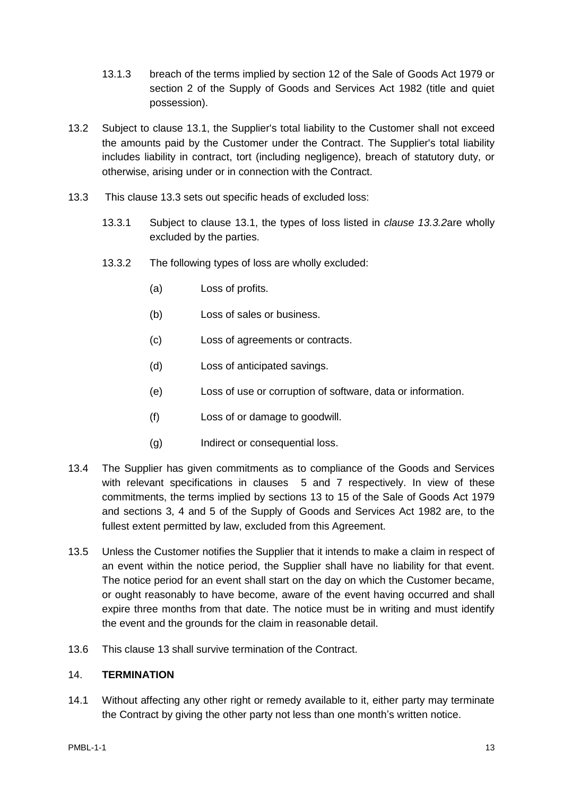- 13.1.3 breach of the terms implied by section 12 of the Sale of Goods Act 1979 or section 2 of the Supply of Goods and Services Act 1982 (title and quiet possession).
- 13.2 Subject to clause [13.1,](#page-11-3) the Supplier's total liability to the Customer shall not exceed the amounts paid by the Customer under the Contract. The Supplier's total liability includes liability in contract, tort (including negligence), breach of statutory duty, or otherwise, arising under or in connection with the Contract.
- <span id="page-12-2"></span><span id="page-12-1"></span>13.3 This clause [13.3](#page-12-1) sets out specific heads of excluded loss:
	- 13.3.1 Subject to clause [13.1,](#page-11-3) the types of loss listed in *clause [13.3.2](#page-12-2)*are wholly excluded by the parties.
	- 13.3.2 The following types of loss are wholly excluded:
		- (a) Loss of profits.
		- (b) Loss of sales or business.
		- (c) Loss of agreements or contracts.
		- (d) Loss of anticipated savings.
		- (e) Loss of use or corruption of software, data or information.
		- (f) Loss of or damage to goodwill.
		- (g) Indirect or consequential loss.
- 13.4 The Supplier has given commitments as to compliance of the Goods and Services with relevant specifications in clauses [5](#page-4-0) and [7](#page-7-0) respectively. In view of these commitments, the terms implied by sections 13 to 15 of the Sale of Goods Act 1979 and sections 3, 4 and 5 of the Supply of Goods and Services Act 1982 are, to the fullest extent permitted by law, excluded from this Agreement.
- 13.5 Unless the Customer notifies the Supplier that it intends to make a claim in respect of an event within the notice period, the Supplier shall have no liability for that event. The notice period for an event shall start on the day on which the Customer became, or ought reasonably to have become, aware of the event having occurred and shall expire three months from that date. The notice must be in writing and must identify the event and the grounds for the claim in reasonable detail.
- 13.6 This clause [13](#page-11-0) shall survive termination of the Contract.

#### <span id="page-12-0"></span>14. **TERMINATION**

14.1 Without affecting any other right or remedy available to it, either party may terminate the Contract by giving the other party not less than one month's written notice.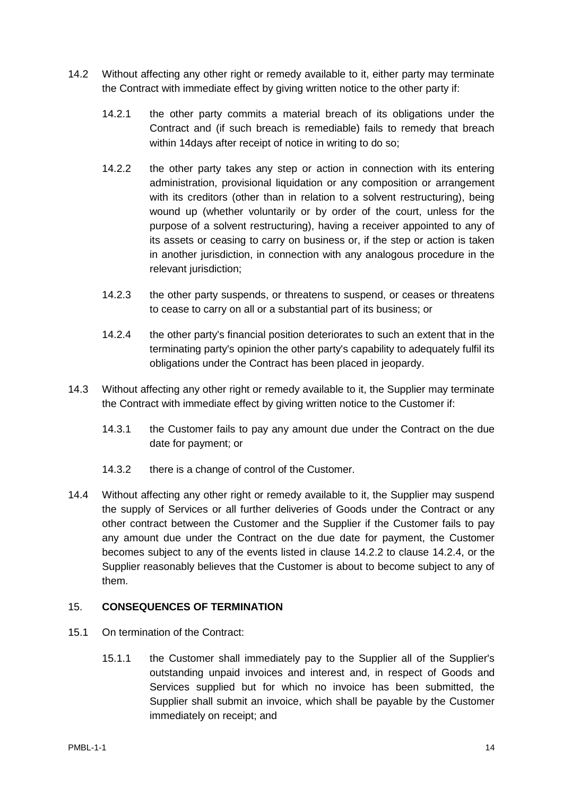- <span id="page-13-0"></span>14.2 Without affecting any other right or remedy available to it, either party may terminate the Contract with immediate effect by giving written notice to the other party if:
	- 14.2.1 the other party commits a material breach of its obligations under the Contract and (if such breach is remediable) fails to remedy that breach within 14days after receipt of notice in writing to do so;
	- 14.2.2 the other party takes any step or action in connection with its entering administration, provisional liquidation or any composition or arrangement with its creditors (other than in relation to a solvent restructuring), being wound up (whether voluntarily or by order of the court, unless for the purpose of a solvent restructuring), having a receiver appointed to any of its assets or ceasing to carry on business or, if the step or action is taken in another jurisdiction, in connection with any analogous procedure in the relevant jurisdiction;
	- 14.2.3 the other party suspends, or threatens to suspend, or ceases or threatens to cease to carry on all or a substantial part of its business; or
	- 14.2.4 the other party's financial position deteriorates to such an extent that in the terminating party's opinion the other party's capability to adequately fulfil its obligations under the Contract has been placed in jeopardy.
- <span id="page-13-1"></span>14.3 Without affecting any other right or remedy available to it, the Supplier may terminate the Contract with immediate effect by giving written notice to the Customer if:
	- 14.3.1 the Customer fails to pay any amount due under the Contract on the due date for payment; or
	- 14.3.2 there is a change of control of the Customer.
- 14.4 Without affecting any other right or remedy available to it, the Supplier may suspend the supply of Services or all further deliveries of Goods under the Contract or any other contract between the Customer and the Supplier if the Customer fails to pay any amount due under the Contract on the due date for payment, the Customer becomes subject to any of the events listed in clause [14.2.2](#page-13-0) to clause [14.2.4,](#page-13-1) or the Supplier reasonably believes that the Customer is about to become subject to any of them.

#### 15. **CONSEQUENCES OF TERMINATION**

- 15.1 On termination of the Contract:
	- 15.1.1 the Customer shall immediately pay to the Supplier all of the Supplier's outstanding unpaid invoices and interest and, in respect of Goods and Services supplied but for which no invoice has been submitted, the Supplier shall submit an invoice, which shall be payable by the Customer immediately on receipt; and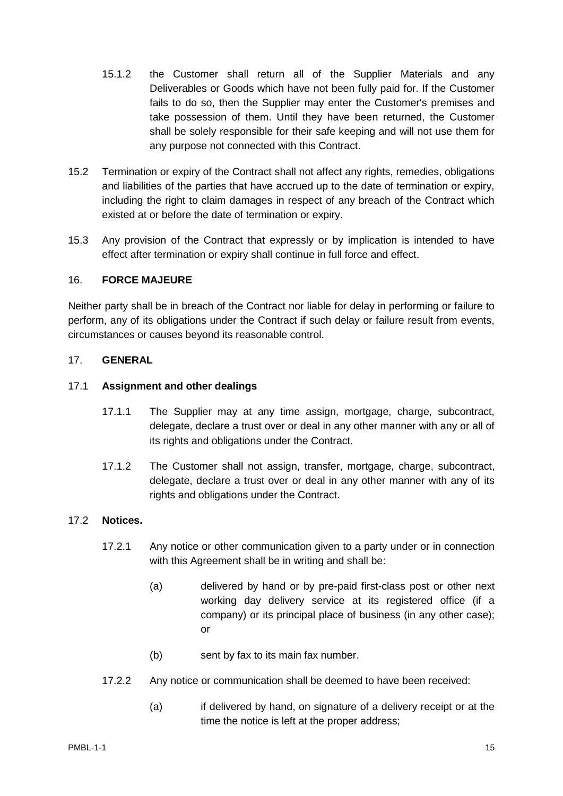- 15.1.2 the Customer shall return all of the Supplier Materials and any Deliverables or Goods which have not been fully paid for. If the Customer fails to do so, then the Supplier may enter the Customer's premises and take possession of them. Until they have been returned, the Customer shall be solely responsible for their safe keeping and will not use them for any purpose not connected with this Contract.
- 15.2 Termination or expiry of the Contract shall not affect any rights, remedies, obligations and liabilities of the parties that have accrued up to the date of termination or expiry, including the right to claim damages in respect of any breach of the Contract which existed at or before the date of termination or expiry.
- 15.3 Any provision of the Contract that expressly or by implication is intended to have effect after termination or expiry shall continue in full force and effect.

#### <span id="page-14-0"></span>16. **FORCE MAJEURE**

Neither party shall be in breach of the Contract nor liable for delay in performing or failure to perform, any of its obligations under the Contract if such delay or failure result from events, circumstances or causes beyond its reasonable control.

#### 17. **GENERAL**

#### 17.1 **Assignment and other dealings**

- 17.1.1 The Supplier may at any time assign, mortgage, charge, subcontract, delegate, declare a trust over or deal in any other manner with any or all of its rights and obligations under the Contract.
- 17.1.2 The Customer shall not assign, transfer, mortgage, charge, subcontract, delegate, declare a trust over or deal in any other manner with any of its rights and obligations under the Contract.

## 17.2 **Notices.**

- 17.2.1 Any notice or other communication given to a party under or in connection with this Agreement shall be in writing and shall be:
	- (a) delivered by hand or by pre-paid first-class post or other next working day delivery service at its registered office (if a company) or its principal place of business (in any other case); or
	- (b) sent by fax to its main fax number.
- 17.2.2 Any notice or communication shall be deemed to have been received:
	- (a) if delivered by hand, on signature of a delivery receipt or at the time the notice is left at the proper address;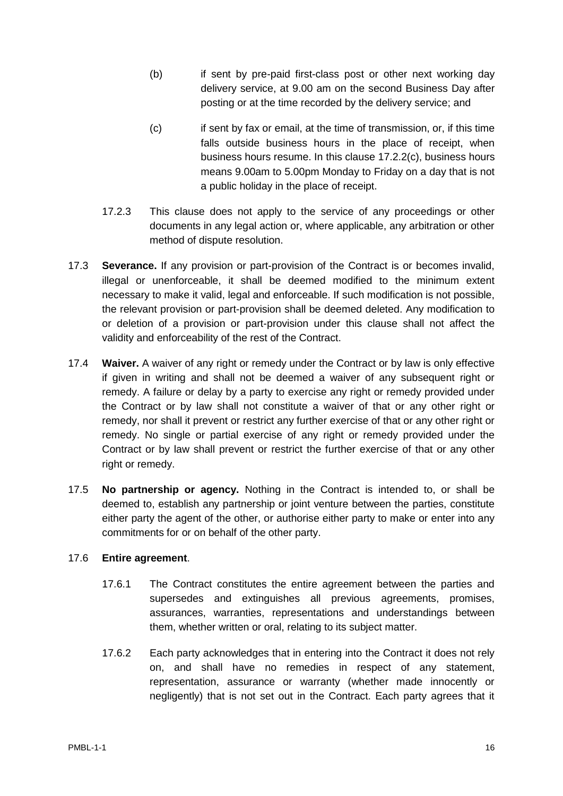- (b) if sent by pre-paid first-class post or other next working day delivery service, at 9.00 am on the second Business Day after posting or at the time recorded by the delivery service; and
- <span id="page-15-0"></span>(c) if sent by fax or email, at the time of transmission, or, if this time falls outside business hours in the place of receipt, when business hours resume. In this clause [17.2.2\(c\),](#page-15-0) business hours means 9.00am to 5.00pm Monday to Friday on a day that is not a public holiday in the place of receipt.
- 17.2.3 This clause does not apply to the service of any proceedings or other documents in any legal action or, where applicable, any arbitration or other method of dispute resolution.
- 17.3 **Severance.** If any provision or part-provision of the Contract is or becomes invalid, illegal or unenforceable, it shall be deemed modified to the minimum extent necessary to make it valid, legal and enforceable. If such modification is not possible, the relevant provision or part-provision shall be deemed deleted. Any modification to or deletion of a provision or part-provision under this clause shall not affect the validity and enforceability of the rest of the Contract.
- 17.4 **Waiver.** A waiver of any right or remedy under the Contract or by law is only effective if given in writing and shall not be deemed a waiver of any subsequent right or remedy. A failure or delay by a party to exercise any right or remedy provided under the Contract or by law shall not constitute a waiver of that or any other right or remedy, nor shall it prevent or restrict any further exercise of that or any other right or remedy. No single or partial exercise of any right or remedy provided under the Contract or by law shall prevent or restrict the further exercise of that or any other right or remedy.
- 17.5 **No partnership or agency.** Nothing in the Contract is intended to, or shall be deemed to, establish any partnership or joint venture between the parties, constitute either party the agent of the other, or authorise either party to make or enter into any commitments for or on behalf of the other party.

#### 17.6 **Entire agreement**.

- 17.6.1 The Contract constitutes the entire agreement between the parties and supersedes and extinguishes all previous agreements, promises, assurances, warranties, representations and understandings between them, whether written or oral, relating to its subject matter.
- 17.6.2 Each party acknowledges that in entering into the Contract it does not rely on, and shall have no remedies in respect of any statement, representation, assurance or warranty (whether made innocently or negligently) that is not set out in the Contract. Each party agrees that it